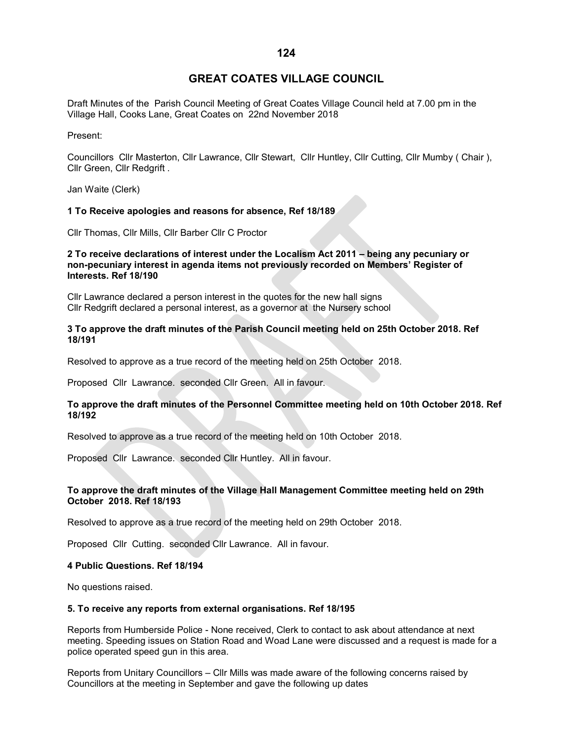# **GREAT COATES VILLAGE COUNCIL**

Draft Minutes of the Parish Council Meeting of Great Coates Village Council held at 7.00 pm in the Village Hall, Cooks Lane, Great Coates on 22nd November 2018

Present:

Councillors Cllr Masterton, Cllr Lawrance, Cllr Stewart, Cllr Huntley, Cllr Cutting, Cllr Mumby ( Chair ), Cllr Green, Cllr Redgrift .

Jan Waite (Clerk)

### **1 To Receive apologies and reasons for absence, Ref 18/189**

Cllr Thomas, Cllr Mills, Cllr Barber Cllr C Proctor

### **2 To receive declarations of interest under the Localism Act 2011 – being any pecuniary or non-pecuniary interest in agenda items not previously recorded on Members' Register of Interests. Ref 18/190**

Cllr Lawrance declared a person interest in the quotes for the new hall signs Cllr Redgrift declared a personal interest, as a governor at the Nursery school

### **3 To approve the draft minutes of the Parish Council meeting held on 25th October 2018. Ref 18/191**

Resolved to approve as a true record of the meeting held on 25th October 2018.

Proposed Cllr Lawrance. seconded Cllr Green. All in favour.

# **To approve the draft minutes of the Personnel Committee meeting held on 10th October 2018. Ref 18/192**

Resolved to approve as a true record of the meeting held on 10th October 2018.

Proposed Cllr Lawrance. seconded Cllr Huntley. All in favour.

# **To approve the draft minutes of the Village Hall Management Committee meeting held on 29th October 2018. Ref 18/193**

Resolved to approve as a true record of the meeting held on 29th October 2018.

Proposed Cllr Cutting. seconded Cllr Lawrance. All in favour.

#### **4 Public Questions. Ref 18/194**

No questions raised.

#### **5. To receive any reports from external organisations. Ref 18/195**

Reports from Humberside Police - None received, Clerk to contact to ask about attendance at next meeting. Speeding issues on Station Road and Woad Lane were discussed and a request is made for a police operated speed gun in this area.

Reports from Unitary Councillors – Cllr Mills was made aware of the following concerns raised by Councillors at the meeting in September and gave the following up dates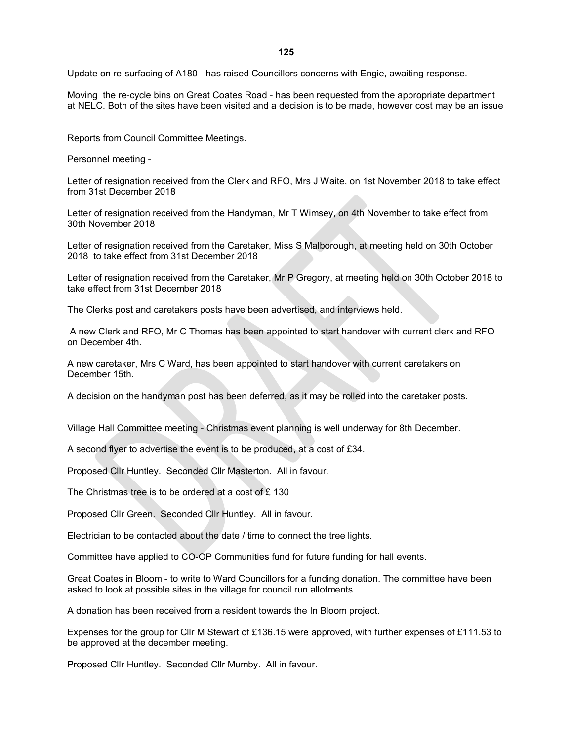Update on re-surfacing of A180 - has raised Councillors concerns with Engie, awaiting response.

Moving the re-cycle bins on Great Coates Road - has been requested from the appropriate department at NELC. Both of the sites have been visited and a decision is to be made, however cost may be an issue

Reports from Council Committee Meetings.

Personnel meeting -

Letter of resignation received from the Clerk and RFO, Mrs J Waite, on 1st November 2018 to take effect from 31st December 2018

Letter of resignation received from the Handyman, Mr T Wimsey, on 4th November to take effect from 30th November 2018

Letter of resignation received from the Caretaker, Miss S Malborough, at meeting held on 30th October 2018 to take effect from 31st December 2018

Letter of resignation received from the Caretaker, Mr P Gregory, at meeting held on 30th October 2018 to take effect from 31st December 2018

The Clerks post and caretakers posts have been advertised, and interviews held.

A new Clerk and RFO, Mr C Thomas has been appointed to start handover with current clerk and RFO on December 4th.

A new caretaker, Mrs C Ward, has been appointed to start handover with current caretakers on December 15th.

A decision on the handyman post has been deferred, as it may be rolled into the caretaker posts.

Village Hall Committee meeting - Christmas event planning is well underway for 8th December.

A second flyer to advertise the event is to be produced, at a cost of £34.

Proposed Cllr Huntley. Seconded Cllr Masterton. All in favour.

The Christmas tree is to be ordered at a cost of £ 130

Proposed Cllr Green. Seconded Cllr Huntley. All in favour.

Electrician to be contacted about the date / time to connect the tree lights.

Committee have applied to CO-OP Communities fund for future funding for hall events.

Great Coates in Bloom - to write to Ward Councillors for a funding donation. The committee have been asked to look at possible sites in the village for council run allotments.

A donation has been received from a resident towards the In Bloom project.

Expenses for the group for Cllr M Stewart of £136.15 were approved, with further expenses of £111.53 to be approved at the december meeting.

Proposed Cllr Huntley. Seconded Cllr Mumby. All in favour.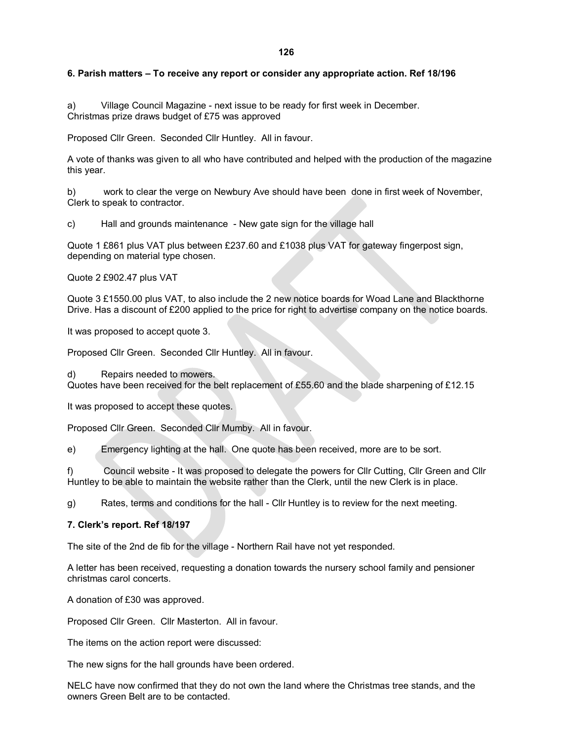# **126**

### **6. Parish matters – To receive any report or consider any appropriate action. Ref 18/196**

a) Village Council Magazine - next issue to be ready for first week in December. Christmas prize draws budget of £75 was approved

Proposed Cllr Green. Seconded Cllr Huntley. All in favour.

A vote of thanks was given to all who have contributed and helped with the production of the magazine this year.

b) work to clear the verge on Newbury Ave should have been done in first week of November, Clerk to speak to contractor.

c) Hall and grounds maintenance - New gate sign for the village hall

Quote 1 £861 plus VAT plus between £237.60 and £1038 plus VAT for gateway fingerpost sign, depending on material type chosen.

Quote 2 £902.47 plus VAT

Quote 3 £1550.00 plus VAT, to also include the 2 new notice boards for Woad Lane and Blackthorne Drive. Has a discount of £200 applied to the price for right to advertise company on the notice boards.

It was proposed to accept quote 3.

Proposed Cllr Green. Seconded Cllr Huntley. All in favour.

d) Repairs needed to mowers. Quotes have been received for the belt replacement of £55.60 and the blade sharpening of £12.15

It was proposed to accept these quotes.

Proposed Cllr Green. Seconded Cllr Mumby. All in favour.

e) Emergency lighting at the hall. One quote has been received, more are to be sort.

f) Council website - It was proposed to delegate the powers for Cllr Cutting, Cllr Green and Cllr Huntley to be able to maintain the website rather than the Clerk, until the new Clerk is in place.

g) Rates, terms and conditions for the hall - Cllr Huntley is to review for the next meeting.

#### **7. Clerk's report. Ref 18/197**

The site of the 2nd de fib for the village - Northern Rail have not yet responded.

A letter has been received, requesting a donation towards the nursery school family and pensioner christmas carol concerts.

A donation of £30 was approved.

Proposed Cllr Green. Cllr Masterton. All in favour.

The items on the action report were discussed:

The new signs for the hall grounds have been ordered.

NELC have now confirmed that they do not own the land where the Christmas tree stands, and the owners Green Belt are to be contacted.